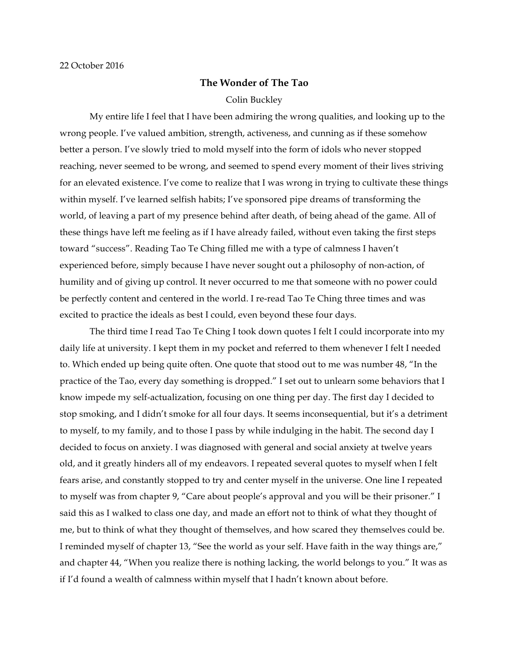## **The Wonder of The Tao**

## Colin Buckley

My entire life I feel that I have been admiring the wrong qualities, and looking up to the wrong people. I've valued ambition, strength, activeness, and cunning as if these somehow better a person. I've slowly tried to mold myself into the form of idols who never stopped reaching, never seemed to be wrong, and seemed to spend every moment of their lives striving for an elevated existence. I've come to realize that I was wrong in trying to cultivate these things within myself. I've learned selfish habits; I've sponsored pipe dreams of transforming the world, of leaving a part of my presence behind after death, of being ahead of the game. All of these things have left me feeling as if I have already failed, without even taking the first steps toward "success". Reading Tao Te Ching filled me with a type of calmness I haven't experienced before, simply because I have never sought out a philosophy of non-action, of humility and of giving up control. It never occurred to me that someone with no power could be perfectly content and centered in the world. I re-read Tao Te Ching three times and was excited to practice the ideals as best I could, even beyond these four days.

The third time I read Tao Te Ching I took down quotes I felt I could incorporate into my daily life at university. I kept them in my pocket and referred to them whenever I felt I needed to. Which ended up being quite often. One quote that stood out to me was number 48, "In the practice of the Tao, every day something is dropped." I set out to unlearn some behaviors that I know impede my self-actualization, focusing on one thing per day. The first day I decided to stop smoking, and I didn't smoke for all four days. It seems inconsequential, but it's a detriment to myself, to my family, and to those I pass by while indulging in the habit. The second day I decided to focus on anxiety. I was diagnosed with general and social anxiety at twelve years old, and it greatly hinders all of my endeavors. I repeated several quotes to myself when I felt fears arise, and constantly stopped to try and center myself in the universe. One line I repeated to myself was from chapter 9, "Care about people's approval and you will be their prisoner." I said this as I walked to class one day, and made an effort not to think of what they thought of me, but to think of what they thought of themselves, and how scared they themselves could be. I reminded myself of chapter 13, "See the world as your self. Have faith in the way things are," and chapter 44, "When you realize there is nothing lacking, the world belongs to you." It was as if I'd found a wealth of calmness within myself that I hadn't known about before.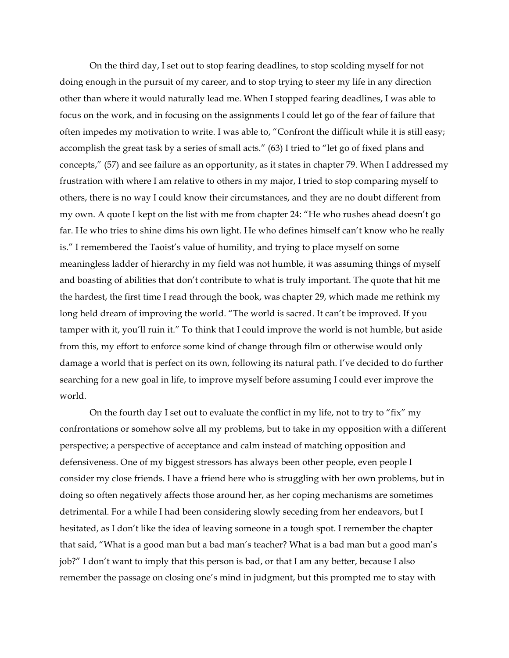On the third day, I set out to stop fearing deadlines, to stop scolding myself for not doing enough in the pursuit of my career, and to stop trying to steer my life in any direction other than where it would naturally lead me. When I stopped fearing deadlines, I was able to focus on the work, and in focusing on the assignments I could let go of the fear of failure that often impedes my motivation to write. I was able to, "Confront the difficult while it is still easy; accomplish the great task by a series of small acts." (63) I tried to "let go of fixed plans and concepts," (57) and see failure as an opportunity, as it states in chapter 79. When I addressed my frustration with where I am relative to others in my major, I tried to stop comparing myself to others, there is no way I could know their circumstances, and they are no doubt different from my own. A quote I kept on the list with me from chapter 24: "He who rushes ahead doesn't go far. He who tries to shine dims his own light. He who defines himself can't know who he really is." I remembered the Taoist's value of humility, and trying to place myself on some meaningless ladder of hierarchy in my field was not humble, it was assuming things of myself and boasting of abilities that don't contribute to what is truly important. The quote that hit me the hardest, the first time I read through the book, was chapter 29, which made me rethink my long held dream of improving the world. "The world is sacred. It can't be improved. If you tamper with it, you'll ruin it." To think that I could improve the world is not humble, but aside from this, my effort to enforce some kind of change through film or otherwise would only damage a world that is perfect on its own, following its natural path. I've decided to do further searching for a new goal in life, to improve myself before assuming I could ever improve the world.

On the fourth day I set out to evaluate the conflict in my life, not to try to "fix" my confrontations or somehow solve all my problems, but to take in my opposition with a different perspective; a perspective of acceptance and calm instead of matching opposition and defensiveness. One of my biggest stressors has always been other people, even people I consider my close friends. I have a friend here who is struggling with her own problems, but in doing so often negatively affects those around her, as her coping mechanisms are sometimes detrimental. For a while I had been considering slowly seceding from her endeavors, but I hesitated, as I don't like the idea of leaving someone in a tough spot. I remember the chapter that said, "What is a good man but a bad man's teacher? What is a bad man but a good man's job?" I don't want to imply that this person is bad, or that I am any better, because I also remember the passage on closing one's mind in judgment, but this prompted me to stay with